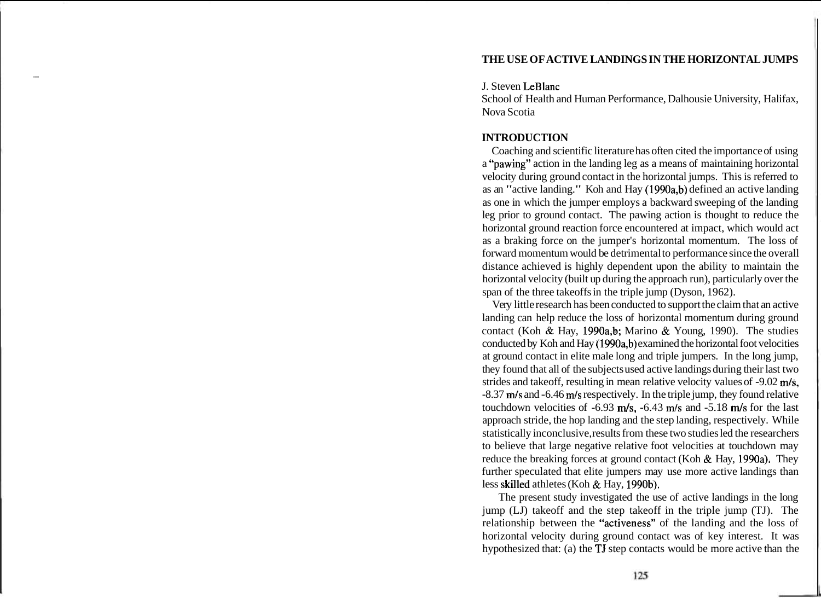# **THE USE OF ACTIVE LANDINGS IN THE HORIZONTAL JUMPS**

### J. Steven LeBlanc

School of Health and Human Performance, Dalhousie University, Halifax, Nova Scotia

# **INTRODUCTION**

Coaching and scientific literature has often cited the importance of using a "pawing" action in the landing leg as a means of maintaining horizontal velocity during ground contact in the horizontal jumps. This is referred to as an "active landing." Koh and Hay (1990a,b) defined an active landing as one in which the jumper employs a backward sweeping of the landing leg prior to ground contact. The pawing action is thought to reduce the horizontal ground reaction force encountered at impact, which would act as a braking force on the jumper's horizontal momentum. The loss of forward momentum would be detrimental to performance since the overall distance achieved is highly dependent upon the ability to maintain the horizontal velocity (built up during the approach run), particularly over the span of the three takeoffs in the triple jump (Dyson, 1962).

Very little research has been conducted to support the claim that an active landing can help reduce the loss of horizontal momentum during ground contact (Koh & Hay, 1990a,b; Marino & Young, 1990). The studies conducted by Koh and Hay (1990a,b) examined the horizontal foot velocities at ground contact in elite male long and triple jumpers. In the long jump, they found that all of the subjects used active landings during their last two strides and takeoff, resulting in mean relative velocity values of -9.02 m/s, -8.37 m/s and -6.46 m/s respectively. In the triple jump, they found relative touchdown velocities of -6.93 m/s, -6.43 m/s and -5.18 m/s for the last approach stride, the hop landing and the step landing, respectively. While statistically inconclusive, results from these two studies led the researchers to believe that large negative relative foot velocities at touchdown may reduce the breaking forces at ground contact (Koh & Hay, 1990a). They further speculated that elite jumpers may use more active landings than less skilled athletes (Koh & Hay, 1990b).

The present study investigated the use of active landings in the long jump (LJ) takeoff and the step takeoff in the triple jump (TJ). The relationship between the "activeness" of the landing and the loss of horizontal velocity during ground contact was of key interest. It was hypothesized that: (a) the TJ step contacts would be more active than the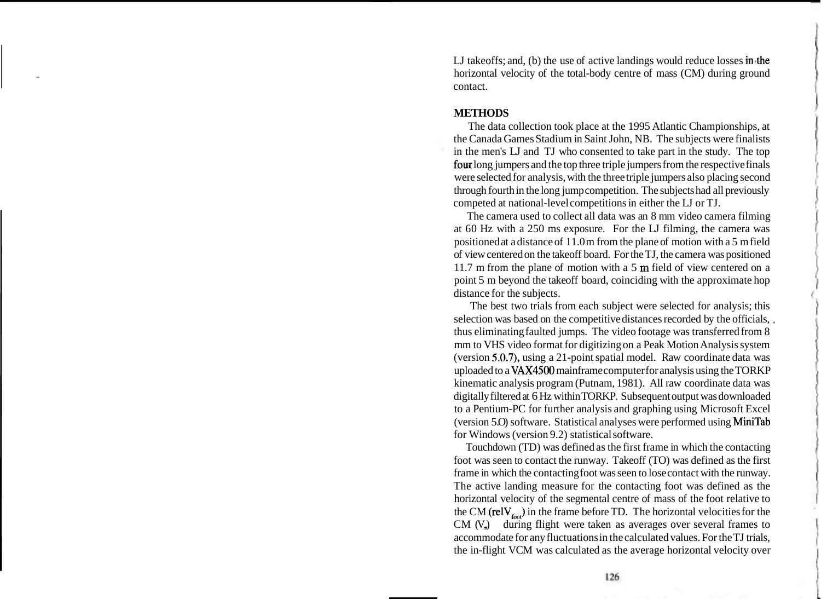LJ takeoffs; and, (b) the use of active landings would reduce losses in the horizontal velocity of the total-body centre of mass (CM) during ground contact.

### **METHODS**

The data collection took place at the 1995 Atlantic Championships, at the Canada Games Stadium in Saint John, NB. The subjects were finalists in the men's LJ and TJ who consented to take part in the study. The top four long jumpers and the top three triple jumpers from the respective finals were selected for analysis, with the three triple jumpers also placing second through fourth in the long jump competition. The subjects had all previously competed at national-level competitions in either the LJ or TJ.

The camera used to collect all data was an 8 mm video camera filming at 60 Hz with a 250 ms exposure. For the LJ filming, the camera was positioned at a distance of 11.0 m from the plane of motion with a 5 m field of view centered on the takeoff board. For the TJ, the camera was positioned 11.7 m from the plane of motion with a 5 **m** field of view centered on a point 5 m beyond the takeoff board, coinciding with the approximate hop distance for the subjects.

The best two trials from each subject were selected for analysis; this selection was based on the competitive distances recorded by the officials, , thus eliminating faulted jumps. The video footage was transferred from 8 mm to VHS video format for digitizing on a Peak Motion Analysis system (version 5.0.7), using a 21-point spatial model. Raw coordinate data was uploaded to a VAX4500 mainframe computer for analysis using the TORKP kinematic analysis program (Putnam, 1981). All raw coordinate data was digitally filtered at 6 Hz within TORKP. Subsequent output was downloaded to a Pentium-PC for further analysis and graphing using Microsoft Excel (version 5.0) software. Statistical analyses were performed using MiniTab for Windows (version 9.2) statistical software.

Touchdown (TD) was defined as the first frame in which the contacting foot was seen to contact the runway. Takeoff (TO) was defined as the first frame in which the contacting foot was seen to lose contact with the runway. The active landing measure for the contacting foot was defined as the horizontal velocity of the segmental centre of mass of the foot relative to the CM (relV $_{\epsilon,\omega}$ ) in the frame before TD. The horizontal velocities for the  $CM (V<sub>n</sub>)$  during flight were taken as averages over several frames to accommodate for any fluctuations in the calculated values. For the TJ trials, the in-flight VCM was calculated as the average horizontal velocity over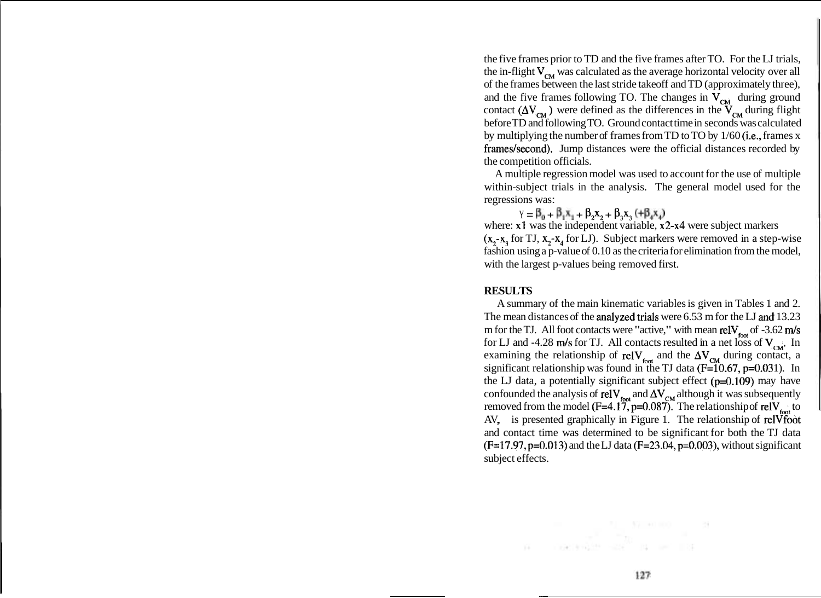the five frames prior to TD and the five frames after TO. For the LJ trials, the in-flight  $V_{\rm cw}$  was calculated as the average horizontal velocity over all of the frames between the last stride takeoff and TD (approximately three), and the five frames following TO. The changes in  $V_{cM}$  during ground contact ( $\Delta V_{\text{cm}}$ ) were defined as the differences in the  $V_{\text{cm}}$  during flight before TD and following TO. Ground contact time in seconds was calculated by multiplying the number of frames from TD to TO by 1/60 (i.e., frames x frames/second). Jump distances were the official distances recorded by the competition officials.

A multiple regression model was used to account for the use of multiple within-subject trials in the analysis. The general model used for the regressions was :

 $Y = \beta_0 + \beta_1 X_1 + \beta_2 X_2 + \beta_3 X_3 + \beta_4 X_4$ 

where: x1 was the independent variable, x2-x4 were subject markers  $(x_2-x_1)$  for TJ,  $x_2-x_1$  for LJ). Subject markers were removed in a step-wise fashion using a p-value of 0.10 as the criteria for elimination from the model, with the largest p-values being removed first.

#### **RESULTS**

A summary of the main kinematic variables is given in Tables 1 and 2. The mean distances of the analyzed trials were 6.53 m for the LJ and 13.23 m for the TJ. All foot contacts were "active," with mean rel $V_{\text{tot}}$  of -3.62 m/s for LJ and -4.28 m/s for TJ. All contacts resulted in a net loss of  $V_{cm}$ . In examining the relationship of relV<sub>foot</sub> and the  $\Delta V_{CM}$  during contact, a significant relationship was found in the TJ data ( $F=10.67$ ,  $p=0.031$ ). In the LJ data, a potentially significant subject effect (p=0.109) may have confounded the analysis of  $relV_{\text{foot}}$  and  $\Delta V_{\text{CM}}$  although it was subsequently removed from the model ( $F=4.17$ ,  $p=0.087$ ). The relationship of relV<sub>toot</sub> to AV, is presented graphically in Figure 1. The relationship of relVfoot and contact time was determined to be significant for both the TJ data  $(F=17.97, p=0.013)$  and the LJ data  $(F=23.04, p=0.003)$ , without significant subject effects.

THE R. P. LEWIS CO., LANSING MICH.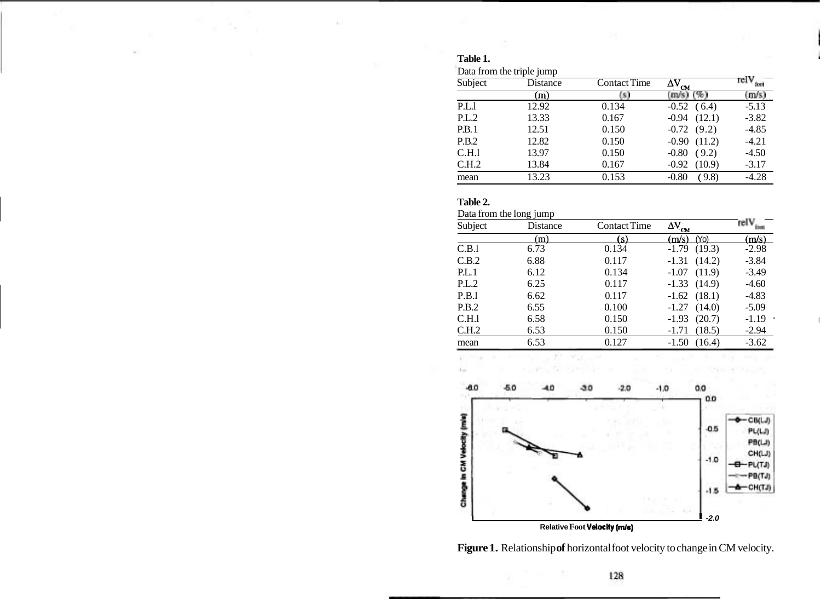## **Table 1.**

| Subject | $\cdot$<br>Distance | <b>Contact Time</b> | $\Delta \vec{\rm V}_{\rm CM}$ | $\text{relV}_{\text{tot}}^-$ |
|---------|---------------------|---------------------|-------------------------------|------------------------------|
|         | (m)                 | (S)                 | $(m/s)$ $(\%)$                | (m/s)                        |
| P.L.1   | 12.92               | 0.134               | $-0.52$<br>(6.4)              | $-5.13$                      |
| P.L.2   | 13.33               | 0.167               | (12.1)<br>$-0.94$             | $-3.82$                      |
| P.B.1   | 12.51               | 0.150               | $-0.72(9.2)$                  | $-4.85$                      |
| P.B.2   | 12.82               | 0.150               | (11.2)<br>$-0.90$             | $-4.21$                      |
| C.H.1   | 13.97               | 0.150               | (9.2)<br>$-0.80$              | $-4.50$                      |
| C.H.2   | 13.84               | 0.167               | (10.9)<br>$-0.92$             | $-3.17$                      |
| mean    | 13.23               | 0.153               | (9.8)<br>$-0.80$              | $-4.28$                      |

### **Table 2.**

Data from the long jump

| Subject | Distance | <b>Contact Time</b> | $\Delta{\rm V}^{}_{\rm CM}$ | rel V.        |
|---------|----------|---------------------|-----------------------------|---------------|
|         | (m)      | (s)                 | (m/s)<br>(Yo)               | (m/s)         |
| C.B.1   | 6.73     | 0.134               | (19.3)<br>$-1.79$           | $-2.98$       |
| C.B.2   | 6.88     | 0.117               | $-1.31$<br>(14.2)           | $-3.84$       |
| PL.1    | 6.12     | 0.134               | $-1.07$<br>(11.9)           | $-3.49$       |
| P.L.2   | 6.25     | 0.117               | $-1.33(14.9)$               | $-4.60$       |
| P.B.1   | 6.62     | 0.117               | $-1.62$ $(18.1)$            | $-4.83$       |
| P.B.2   | 6.55     | 0.100               | (14.0)<br>$-1.27$           | $-5.09$       |
| C.H.1   | 6.58     | 0.150               | (20.7)<br>$-1.93$           | $-1.19$<br>ă, |
| C.H.2   | 6.53     | 0.150               | (18.5)<br>$-1.71$           | $-2.94$       |
| mean    | 6.53     | 0.127               | (16.4)<br>$-1.50$           | $-3.62$       |



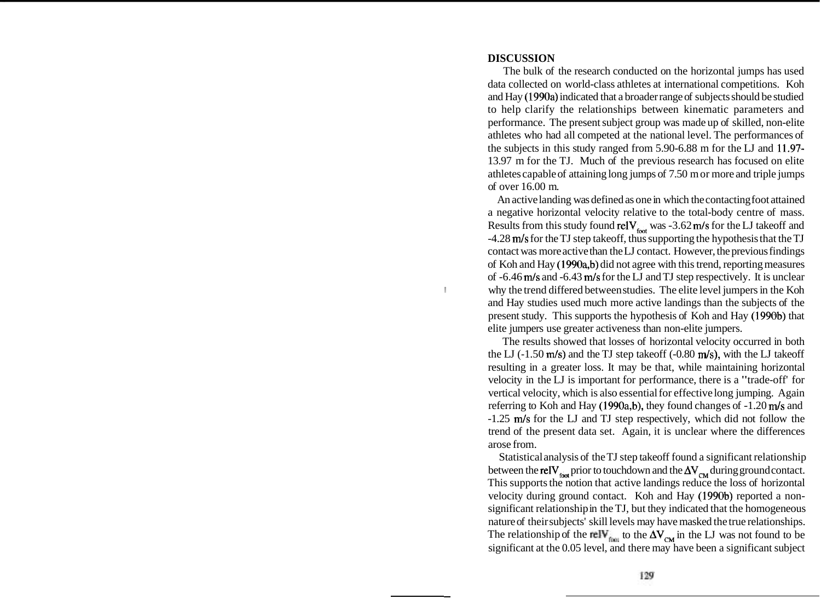#### **DISCUSSION**

I

The bulk of the research conducted on the horizontal jumps has used data collected on world-class athletes at international competitions. Koh and Hay (1990a) indicated that a broader range of subjects should be studied to help clarify the relationships between kinematic parameters and performance. The present subject group was made up of skilled, non-elite athletes who had all competed at the national level. The performances of the subjects in this study ranged from 5.90-6.88 m for the LJ and 11.97- 13.97 m for the TJ. Much of the previous research has focused on elite athletes capable of attaining long jumps of 7.50 m or more and triple jumps of over 16.00 m.

An active landing was defined as one in which the contacting foot attained a negative horizontal velocity relative to the total-body centre of mass. Results from this study found  $relV_{\text{foot}}$  was -3.62 m/s for the LJ takeoff and -4.28 m/s for the TJ step takeoff, thus supporting the hypothesis that the TJ contact was more active than the LJ contact. However, the previous findings of Koh and Hay (1990a,b) did not agree with this trend, reporting measures of -6.46 m/s and -6.43 m/s for the LJ and TJ step respectively. It is unclear why the trend differed between studies. The elite level jumpers in the Koh and Hay studies used much more active landings than the subjects of the present study. This supports the hypothesis of Koh and Hay (1990b) that elite jumpers use greater activeness than non-elite jumpers.

The results showed that losses of horizontal velocity occurred in both the LJ  $(-1.50 \text{ m/s})$  and the TJ step takeoff  $(-0.80 \text{ m/s})$ , with the LJ takeoff resulting in a greater loss. It may be that, while maintaining horizontal velocity in the LJ is important for performance, there is a "trade-off' for vertical velocity, which is also essential for effective long jumping. Again referring to Koh and Hay (1990a,b), they found changes of -1.20 m/s and -1.25 m/s for the LJ and TJ step respectively, which did not follow the trend of the present data set. Again, it is unclear where the differences arose from.

Statistical analysis of the TJ step takeoff found a significant relationship between the relV $_{\text{frot}}$  prior to touchdown and the  $\Delta V_{\text{CM}}$  during ground contact. This supports the notion that active landings reduce the loss of horizontal velocity during ground contact. Koh and Hay (1990b) reported a nonsignificant relationship in the TJ, but they indicated that the homogeneous nature of their subjects' skill levels may have masked the true relationships. The relationship of the rely to the  $\Delta V_{CM}$  in the LJ was not found to be significant at the 0.05 level, and there may have been a significant subject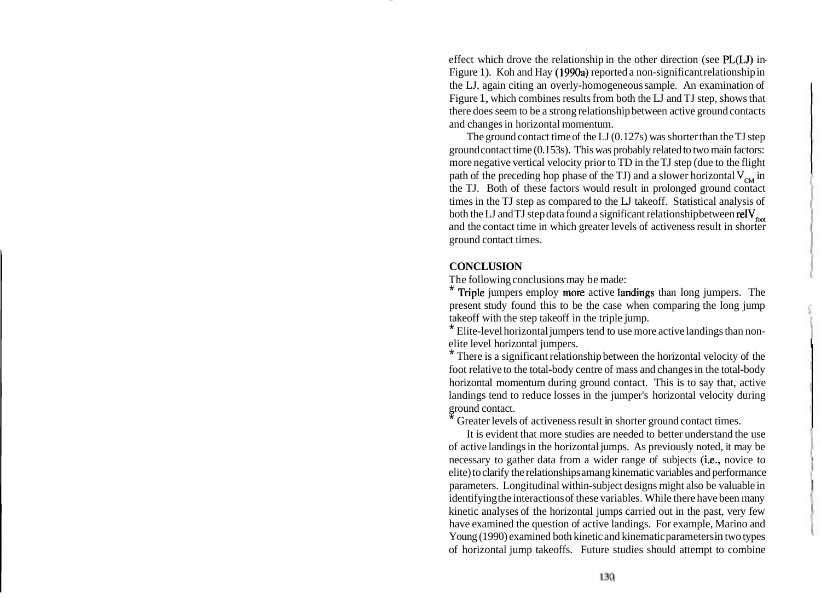effect which drove the relationship in the other direction (see PL(LJ) in-Figure 1). Koh and Hay (1990a) reported a non-significant relationship in the LJ, again citing an overly-homogeneous sample. An examination of Figure 1, which combines results from both the LJ and TJ step, shows that there does seem to be a strong relationship between active ground contacts and changes in horizontal momentum.

The ground contact time of the LJ (0.127s) was shorter than the TJ step ground contact time (0.153s). This was probably related to two main factors: more negative vertical velocity prior to TD in the TJ step (due to the flight path of the preceding hop phase of the TJ) and a slower horizontal  $V_{\text{cut}}$  in the TJ. Both of these factors would result in prolonged ground contact times in the TJ step as compared to the LJ takeoff. Statistical analysis of both the LJ and TJ step data found a significant relationship between rel $V_{\text{tot}}$ and the contact time in which greater levels of activeness result in shorter ground contact times.

## **CONCLUSION**

The following conclusions may be made:

Triple jumpers employ more active landings than long jumpers. The present study found this to be the case when comparing the long jump takeoff with the step takeoff in the triple jump.

\* Elite-level horizontal jumpers tend to use more active landings than nonelite level horizontal jumpers.

There is a significant relationship between the horizontal velocity of the foot relative to the total-body centre of mass and changes in the total-body horizontal momentum during ground contact. This is to say that, active landings tend to reduce losses in the jumper's horizontal velocity during ground contact.

Greater levels of activeness result in shorter ground contact times.

It is evident that more studies are needed to better understand the use of active landings in the horizontal jumps. As previously noted, it may be necessary to gather data from a wider range of subjects (i.e., novice to elite) to clarify the relationships amang kinematic variables and performance parameters. Longitudinal within-subject designs might also be valuable in identifying the interactions of these variables. While there have been many kinetic analyses of the horizontal jumps carried out in the past, very few have examined the question of active landings. For example, Marino and Young (1990) examined both kinetic and kinematic parameters in two types of horizontal jump takeoffs. Future studies should attempt to combine